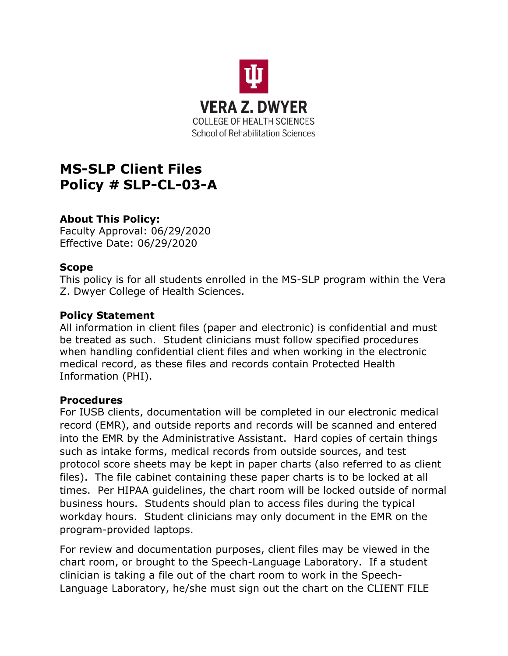

# **MS-SLP Client Files Policy # SLP-CL-03-A**

## **About This Policy:**

Faculty Approval: 06/29/2020 Effective Date: 06/29/2020

## **Scope**

This policy is for all students enrolled in the MS-SLP program within the Vera Z. Dwyer College of Health Sciences.

#### **Policy Statement**

All information in client files (paper and electronic) is confidential and must be treated as such. Student clinicians must follow specified procedures when handling confidential client files and when working in the electronic medical record, as these files and records contain Protected Health Information (PHI).

#### **Procedures**

For IUSB clients, documentation will be completed in our electronic medical record (EMR), and outside reports and records will be scanned and entered into the EMR by the Administrative Assistant. Hard copies of certain things such as intake forms, medical records from outside sources, and test protocol score sheets may be kept in paper charts (also referred to as client files). The file cabinet containing these paper charts is to be locked at all times. Per HIPAA guidelines, the chart room will be locked outside of normal business hours. Students should plan to access files during the typical workday hours. Student clinicians may only document in the EMR on the program-provided laptops.

For review and documentation purposes, client files may be viewed in the chart room, or brought to the Speech-Language Laboratory. If a student clinician is taking a file out of the chart room to work in the Speech-Language Laboratory, he/she must sign out the chart on the CLIENT FILE